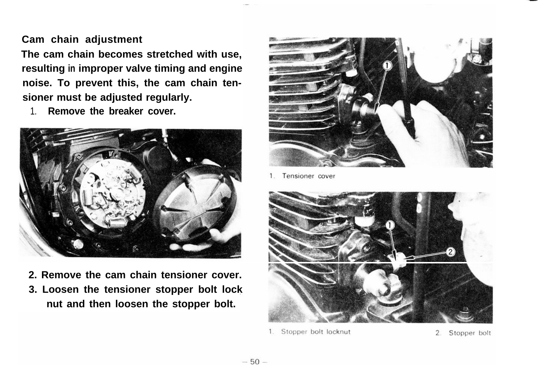## **Cam chain adjustment**

**The cam chain becomes stretched with use, resulting in improper valve timing and engine noise. To prevent this, the cam chain tensioner must be adjusted regularly.**

1. **Remove the breaker cover.**



**2. Remove the cam chain tensioner cover. 3. Loosen the tensioner stopper bolt lock nut and then loosen the stopper bolt.**



Tensioner cover  $1$ 



Stopper bolt locknut  $1$ .

2. Stopper bolt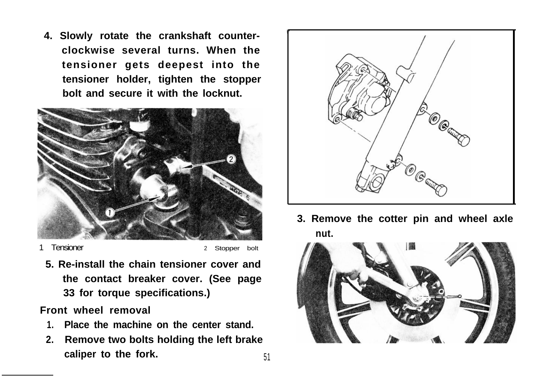**4. Slowly rotate the crankshaft counterclockwise several turns. When the tensioner gets deepest into the tensioner holder, tighten the stopper bolt and secure it with the locknut.**



1 Tensioner 2 Stopper bolt

**5. Re-install the chain tensioner cover and the contact breaker cover. (See page 33 for torque specifications.)**

**Front wheel removal**

- **1. Place the machine on the center stand.**
- **2. Remove two bolts holding the left brake caliper to the fork.** 51



**3. Remove the cotter pin and wheel axle nut.**

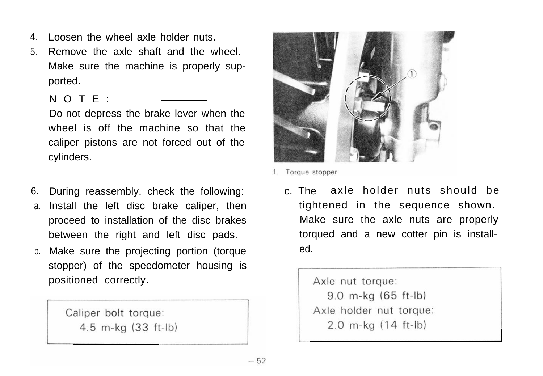- 4. Loosen the wheel axle holder nuts.
- 5. Remove the axle shaft and the wheel. Make sure the machine is properly supported.
	- NOTE:

Do not depress the brake lever when the wheel is off the machine so that the caliper pistons are not forced out of the cylinders.

- 6. a. During reassembly. check the following: Install the left disc brake caliper, then proceed to installation of the disc brakes between the right and left disc pads.
- b. Make sure the projecting portion (torque stopper) of the speedometer housing is positioned correctly.

Caliper bolt torque: 4.5 m-kg (33 ft-lb)



1. Torque stopper

c. The axle holder nuts should be tightened in the sequence shown. Make sure the axle nuts are properly torqued and a new cotter pin is installed.

> Axle nut torque: 9.0 m-kg (65 ft-lb) Axle holder nut torque:  $2.0$  m-kg  $(14$  ft-lb)